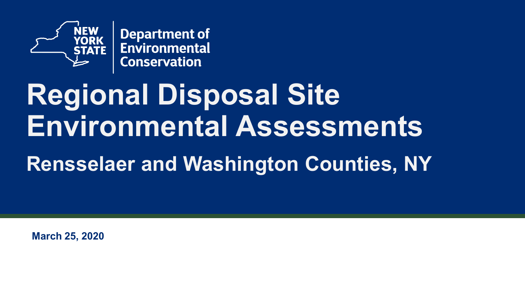

**Department of** Environmental **Conservation** 

# **Regional Disposal Site Environmental Assessments**

### **Rensselaer and Washington Counties, NY**

**March 25, 2020**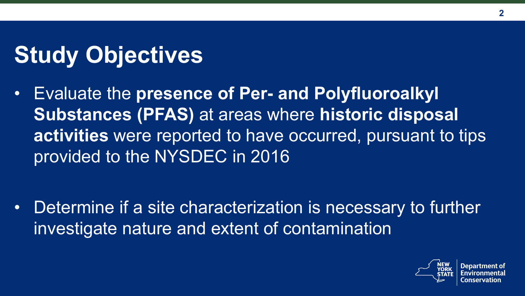# **Study Objectives**

• Evaluate the **presence of Per- and Polyfluoroalkyl Substances (PFAS)** at areas where **historic disposal activities** were reported to have occurred, pursuant to tips provided to the NYSDEC in 2016

• Determine if a site characterization is necessary to further investigate nature and extent of contamination

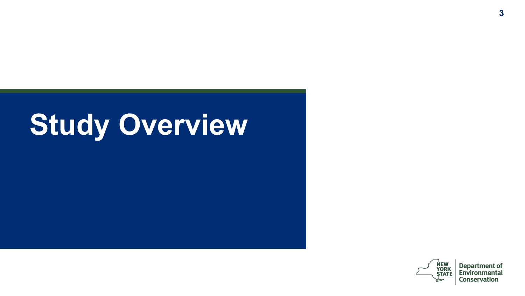# **Study Overview**



**Department of**<br>Environmental **Conservation**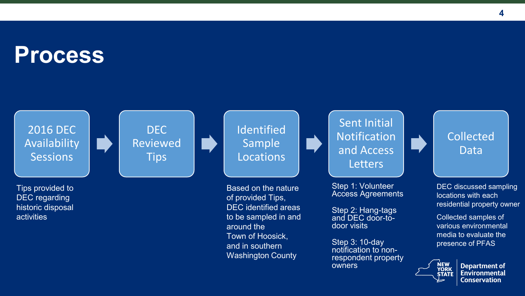### **Process**

2016 DEC Availability **Sessions** 

Tips provided to DEC regarding historic disposal activities

DEC Reviewed **Tips** 

Identified Sample **Locations** 

Based on the nature of provided Tips, DEC identified areas to be sampled in and around the Town of Hoosick, and in southern Washington County

Sent Initial Notification and Access **Letters** 

Step 1: Volunteer Access Agreements

Step 2: Hang-tags and DEC door-to-<br>door visits

Step 3: 10-day<br>notification to nonrespondent property owners

#### Collected Data

DEC discussed sampling locations with each residential property owner

Collected samples of various environmental media to evaluate the presence of PFAS



**Department of Environmental Conservation**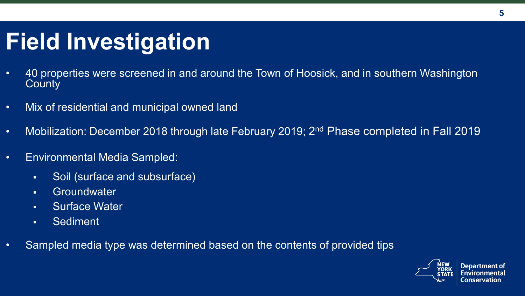## **Field Investigation**

- 40 properties were screened in and around the Town of Hoosick, and in southern Washington **County**
- Mix of residential and municipal owned land
- Mobilization: December 2018 through late February 2019; 2<sup>nd</sup> Phase completed in Fall 2019
- Environmental Media Sampled:
	- Soil (surface and subsurface)
	- Groundwater
	- **Surface Water**
	- Sediment
- Sampled media type was determined based on the contents of provided tips

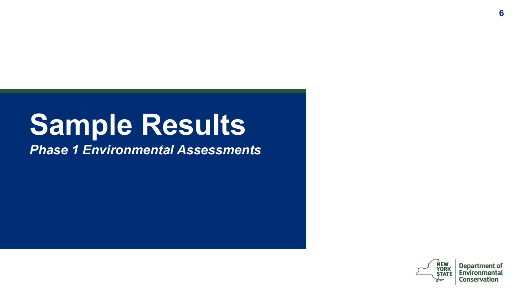# **Sample Results**

*Phase 1 Environmental Assessments*



**Department of** Environmenta Conservation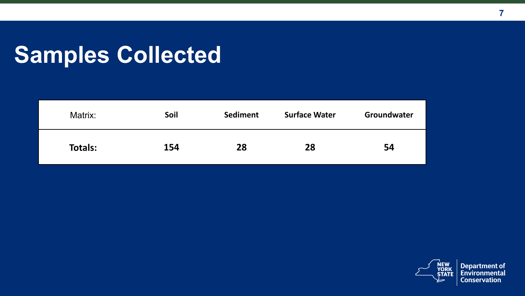## **Samples Collected**

| Matrix:        | Soil | Sediment | <b>Surface Water</b> | Groundwater |
|----------------|------|----------|----------------------|-------------|
| <b>Totals:</b> | 154  | 28       | 28                   | 54          |



**Department of**<br>Environmental **Conservation**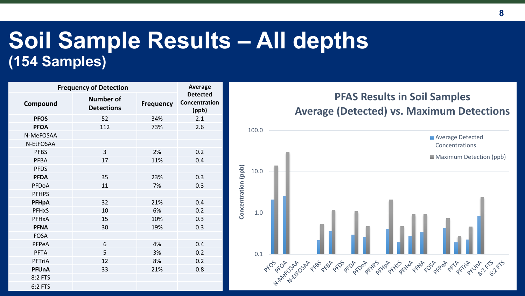### **Soil Sample Results – All depths (154 Samples)**

| <b>Frequency of Detection</b> | Average                        |                  |                                           |
|-------------------------------|--------------------------------|------------------|-------------------------------------------|
| Compound                      | Number of<br><b>Detections</b> | <b>Frequency</b> | <b>Detected</b><br>Concentration<br>(ppb) |
| <b>PFOS</b>                   | 52                             | 34%              | 2.1                                       |
| <b>PFOA</b>                   | 112                            | 73%              | 2.6                                       |
| N-MeFOSAA                     |                                |                  |                                           |
| N-EtFOSAA                     |                                |                  |                                           |
| <b>PFBS</b>                   | 3                              | 2%               | 0.2                                       |
| PFBA                          | 17                             | 11%              | 0.4                                       |
| <b>PFDS</b>                   |                                |                  |                                           |
| <b>PFDA</b>                   | 35                             | 23%              | 0.3                                       |
| PFDoA                         | 11                             | 7%               | 0.3                                       |
| <b>PFHPS</b>                  |                                |                  |                                           |
| <b>PFHpA</b>                  | 32                             | 21%              | 0.4                                       |
| PFHxS                         | 10                             | 6%               | 0.2                                       |
| PFHxA                         | 15                             | 10%              | 0.3                                       |
| <b>PFNA</b>                   | 30                             | 19%              | 0.3                                       |
| <b>FOSA</b>                   |                                |                  |                                           |
| PFPeA                         | 6                              | 4%               | 0.4                                       |
| PFTA                          | 5                              | 3%               | 0.2                                       |
| PFTriA                        | 12                             | 8%               | 0.2                                       |
| <b>PFUnA</b>                  | 33                             | 21%              | 0.8                                       |
| 8:2 FTS                       |                                |                  |                                           |
| 6:2 FTS                       |                                |                  |                                           |

#### **PFAS Results in Soil Samples Average (Detected) vs. Maximum Detections**

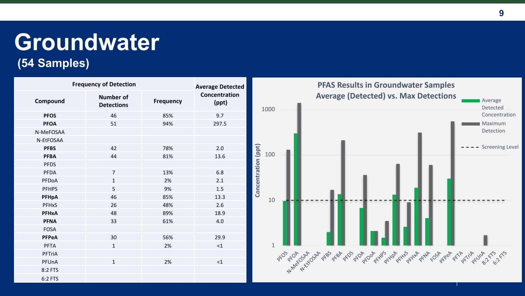# **Groundwater**

#### **(54 Samples)**

| <b>Frequency of Detection</b> |                                       | <b>Average Detected</b> | <b>PFAS Results in Groundwater Samples</b> |                                                                                                                 |                        |
|-------------------------------|---------------------------------------|-------------------------|--------------------------------------------|-----------------------------------------------------------------------------------------------------------------|------------------------|
| Compound                      | <b>Number of</b><br><b>Detections</b> | Frequency               | Concentration<br>(ppt)                     | <b>Average (Detected) vs. Max Detections</b><br><b>Average</b><br>1000                                          | Detected               |
| <b>PFOS</b>                   | 46                                    | 85%                     | 9.7                                        |                                                                                                                 | Concentration          |
| <b>PFOA</b>                   | 51                                    | 94%                     | 297.5                                      |                                                                                                                 | Maximum                |
| N-MeFOSAA                     |                                       |                         |                                            |                                                                                                                 | Detection              |
| N-EtFOSAA                     |                                       |                         |                                            |                                                                                                                 |                        |
| <b>PFBS</b>                   | 42                                    | 78%                     | 2.0                                        | (ppt)                                                                                                           | <b>Screening Level</b> |
| <b>PFBA</b>                   | 44                                    | 81%                     | 13.6                                       | 100                                                                                                             |                        |
| <b>PFDS</b>                   |                                       |                         |                                            |                                                                                                                 |                        |
| PFDA                          | $\overline{7}$                        | 13%                     | 6.8                                        |                                                                                                                 |                        |
| PFDoA                         | $\mathbf{1}$                          | 2%                      | 2.1                                        | Concentration                                                                                                   |                        |
| <b>PFHPS</b>                  | 5                                     | 9%                      | 1.5                                        |                                                                                                                 |                        |
| PFHpA                         | 46                                    | 85%                     | 13.3                                       | 10                                                                                                              |                        |
| PFHxS                         | 26                                    | 48%                     | 2.6                                        |                                                                                                                 |                        |
| PFHxA                         | 48                                    | 89%                     | 18.9                                       |                                                                                                                 |                        |
| <b>PFNA</b>                   | 33                                    | 61%                     | 4.0                                        |                                                                                                                 |                        |
| <b>FOSA</b>                   |                                       |                         |                                            |                                                                                                                 |                        |
| PFPeA                         | 30                                    | 56%                     | 29.9                                       |                                                                                                                 |                        |
| PFTA                          | $\mathbf{1}$                          | 2%                      | $\leq 1$                                   | $\mathbf{1}$                                                                                                    |                        |
| PFTriA                        |                                       |                         |                                            |                                                                                                                 |                        |
| PFUnA                         | $\mathbf{1}$                          | 2%                      | $\leq 1$                                   | Ard According the degrade of the degrade stranger of the detail degrade of the transforme of the degrade of the |                        |
| 8:2 FTS                       |                                       |                         |                                            |                                                                                                                 |                        |
| 6:2 FTS                       |                                       |                         |                                            |                                                                                                                 |                        |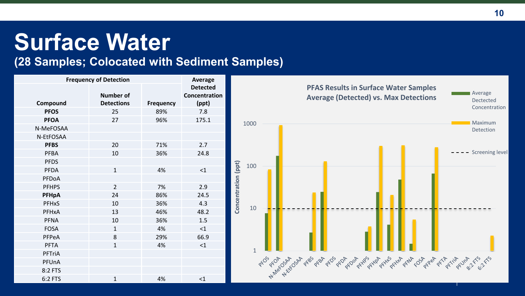### **Surface Water**

#### **(28 Samples; Colocated with Sediment Samples)**

| <b>Frequency of Detection</b> | Average                        |                  |                                           |
|-------------------------------|--------------------------------|------------------|-------------------------------------------|
| Compound                      | Number of<br><b>Detections</b> | <b>Frequency</b> | <b>Detected</b><br>Concentration<br>(ppt) |
| <b>PFOS</b>                   | 25                             | 89%              | 7.8                                       |
| <b>PFOA</b>                   | 27                             | 96%              | 175.1                                     |
| N-MeFOSAA                     |                                |                  |                                           |
| N-EtFOSAA                     |                                |                  |                                           |
| <b>PFBS</b>                   | 20                             | 71%              | 2.7                                       |
| <b>PFBA</b>                   | 10                             | 36%              | 24.8                                      |
| <b>PFDS</b>                   |                                |                  |                                           |
| <b>PFDA</b>                   | $\mathbf{1}$                   | 4%               | $\leq 1$                                  |
| PFDoA                         |                                |                  |                                           |
| <b>PFHPS</b>                  | $\overline{2}$                 | 7%               | 2.9                                       |
| <b>PFHpA</b>                  | 24                             | 86%              | 24.5                                      |
| <b>PFH<sub>x</sub>S</b>       | 10                             | 36%              | 4.3                                       |
| PFHxA                         | 13                             | 46%              | 48.2                                      |
| <b>PFNA</b>                   | 10                             | 36%              | 1.5                                       |
| <b>FOSA</b>                   | $\mathbf{1}$                   | 4%               | <1                                        |
| PFPeA                         | 8                              | 29%              | 66.9                                      |
| <b>PFTA</b>                   | $\mathbf{1}$                   | 4%               | <1                                        |
| PFTriA                        |                                |                  |                                           |
| PFUnA                         |                                |                  |                                           |
| 8:2 FTS                       |                                |                  |                                           |
| 6:2 FTS                       | $\mathbf{1}$                   | 4%               | $<$ 1                                     |

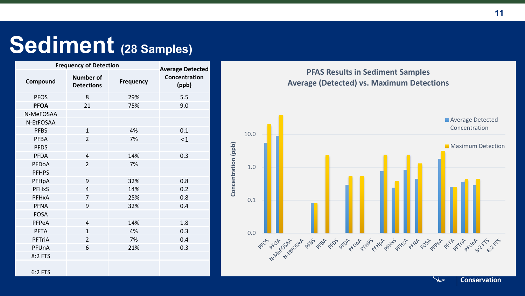### **Sediment (28 Samples)**

| <b>Frequency of Detection</b> | <b>Average Detected</b>               |           |                        |
|-------------------------------|---------------------------------------|-----------|------------------------|
| Compound                      | <b>Number of</b><br><b>Detections</b> | Frequency | Concentration<br>(ppb) |
| <b>PFOS</b>                   | 8                                     | 29%       | 5.5                    |
| <b>PFOA</b>                   | 21                                    | 75%       | 9.0                    |
| N-MeFOSAA                     |                                       |           |                        |
| N-EtFOSAA                     |                                       |           |                        |
| <b>PFBS</b>                   | $\mathbf{1}$                          | 4%        | 0.1                    |
| PFBA                          | $\overline{2}$                        | 7%        | <1                     |
| <b>PFDS</b>                   |                                       |           |                        |
| PFDA                          | $\overline{4}$                        | 14%       | 0.3                    |
| PFDoA                         | $\overline{2}$                        | 7%        |                        |
| <b>PFHPS</b>                  |                                       |           |                        |
| PFHpA                         | 9                                     | 32%       | 0.8                    |
| PFHxS                         | $\overline{4}$                        | 14%       | 0.2                    |
| PFHxA                         | 7                                     | 25%       | 0.8                    |
| <b>PFNA</b>                   | 9                                     | 32%       | 0.4                    |
| <b>FOSA</b>                   |                                       |           |                        |
| PFPeA                         | $\overline{4}$                        | 14%       | 1.8                    |
| <b>PFTA</b>                   | $\mathbf{1}$                          | 4%        | 0.3                    |
| PFTriA                        | $\overline{2}$                        | 7%        | 0.4                    |
| PFUnA                         | 6                                     | 21%       | 0.3                    |
| 8:2 FTS                       |                                       |           |                        |
| 6:2 FTS                       |                                       |           |                        |





**Conservation** 

Ъ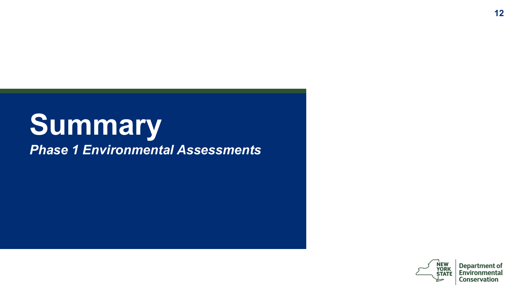### **Summary**  *Phase 1 Environmental Assessments*



**Department of**<br>**Environmental Conservation**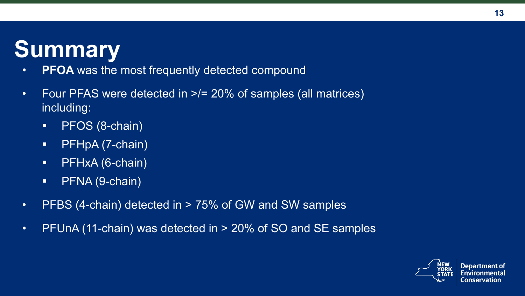### **Summary**

- **PFOA** was the most frequently detected compound
- Four PFAS were detected in  $\ge$ /= 20% of samples (all matrices) including:
	- **PFOS (8-chain)**
	- PFHpA (7-chain)
	- PFHxA (6-chain)
	- **PENA (9-chain)**
- PFBS (4-chain) detected in  $>$  75% of GW and SW samples
- PFUnA (11-chain) was detected in  $>$  20% of SO and SE samples

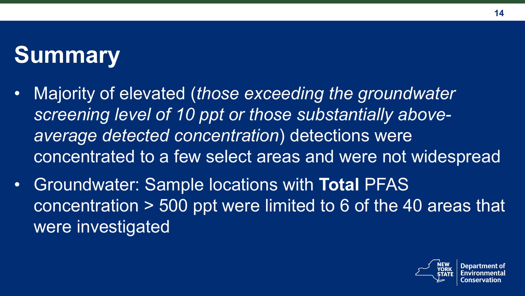## **Summary**

- Majority of elevated (*those exceeding the groundwater screening level of 10 ppt or those substantially aboveaverage detected concentration*) detections were concentrated to a few select areas and were not widespread
- Groundwater: Sample locations with **Total** PFAS concentration > 500 ppt were limited to 6 of the 40 areas that were investigated

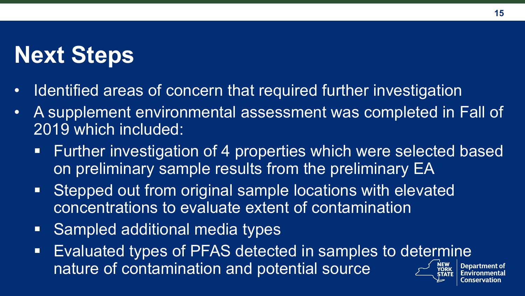### **Next Steps**

- Identified areas of concern that required further investigation
- A supplement environmental assessment was completed in Fall of 2019 which included:
	- Further investigation of 4 properties which were selected based on preliminary sample results from the preliminary EA
	- Stepped out from original sample locations with elevated concentrations to evaluate extent of contamination
	- Sampled additional media types
	- Evaluated types of PFAS detected in samples to determine nature of contamination and potential sourceDepartment of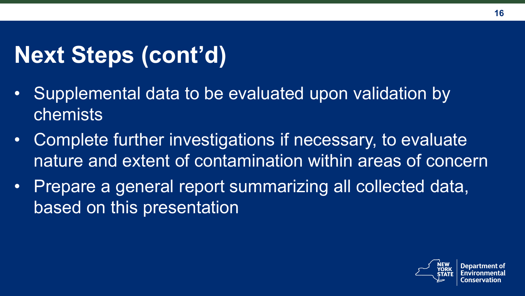# **Next Steps (cont'd)**

- Supplemental data to be evaluated upon validation by chemists
- Complete further investigations if necessary, to evaluate nature and extent of contamination within areas of concern
- Prepare a general report summarizing all collected data, based on this presentation